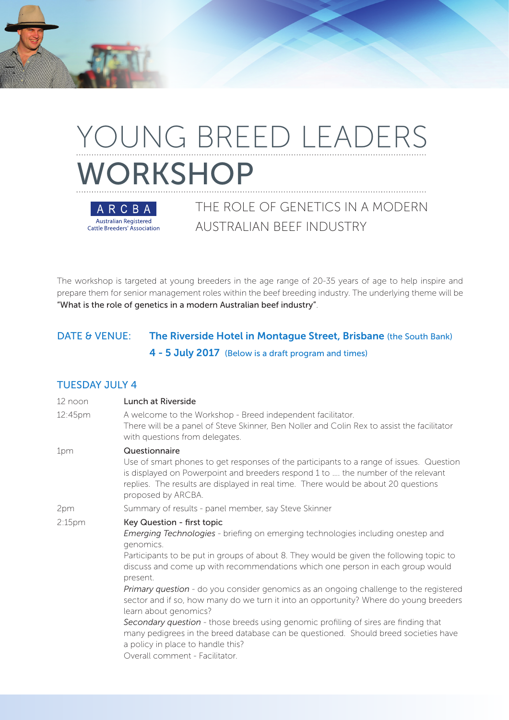# YOUNG BREED LEADERS WORKSHOP



THE ROLE OF GENETICS IN A MODERN AUSTRALIAN BEEF INDUSTRY

The workshop is targeted at young breeders in the age range of 20-35 years of age to help inspire and prepare them for senior management roles within the beef breeding industry. The underlying theme will be "What is the role of genetics in a modern Australian beef industry".

# DATE & VENUE: The Riverside Hotel in Montague Street, Brisbane (the South Bank) 4 - 5 July 2017 (Below is a draft program and times)

#### TUESDAY JULY 4

| Lunch at Riverside                                                                                                                                                                                                                                                                                                                                                                                                                                                                                                                                                                                                                                                                                                                                      |
|---------------------------------------------------------------------------------------------------------------------------------------------------------------------------------------------------------------------------------------------------------------------------------------------------------------------------------------------------------------------------------------------------------------------------------------------------------------------------------------------------------------------------------------------------------------------------------------------------------------------------------------------------------------------------------------------------------------------------------------------------------|
| A welcome to the Workshop - Breed independent facilitator.<br>There will be a panel of Steve Skinner, Ben Noller and Colin Rex to assist the facilitator<br>with questions from delegates.                                                                                                                                                                                                                                                                                                                                                                                                                                                                                                                                                              |
| Questionnaire<br>Use of smart phones to get responses of the participants to a range of issues. Question<br>is displayed on Powerpoint and breeders respond 1 to  the number of the relevant<br>replies. The results are displayed in real time. There would be about 20 questions<br>proposed by ARCBA.                                                                                                                                                                                                                                                                                                                                                                                                                                                |
| Summary of results - panel member, say Steve Skinner                                                                                                                                                                                                                                                                                                                                                                                                                                                                                                                                                                                                                                                                                                    |
| Key Question - first topic<br><b>Emerging Technologies</b> - briefing on emerging technologies including onestep and<br>genomics.<br>Participants to be put in groups of about 8. They would be given the following topic to<br>discuss and come up with recommendations which one person in each group would<br>present.<br>Primary question - do you consider genomics as an ongoing challenge to the registered<br>sector and if so, how many do we turn it into an opportunity? Where do young breeders<br>learn about genomics?<br>Secondary question - those breeds using genomic profiling of sires are finding that<br>many pedigrees in the breed database can be questioned. Should breed societies have<br>a policy in place to handle this? |
| Overall comment - Facilitator.                                                                                                                                                                                                                                                                                                                                                                                                                                                                                                                                                                                                                                                                                                                          |
|                                                                                                                                                                                                                                                                                                                                                                                                                                                                                                                                                                                                                                                                                                                                                         |